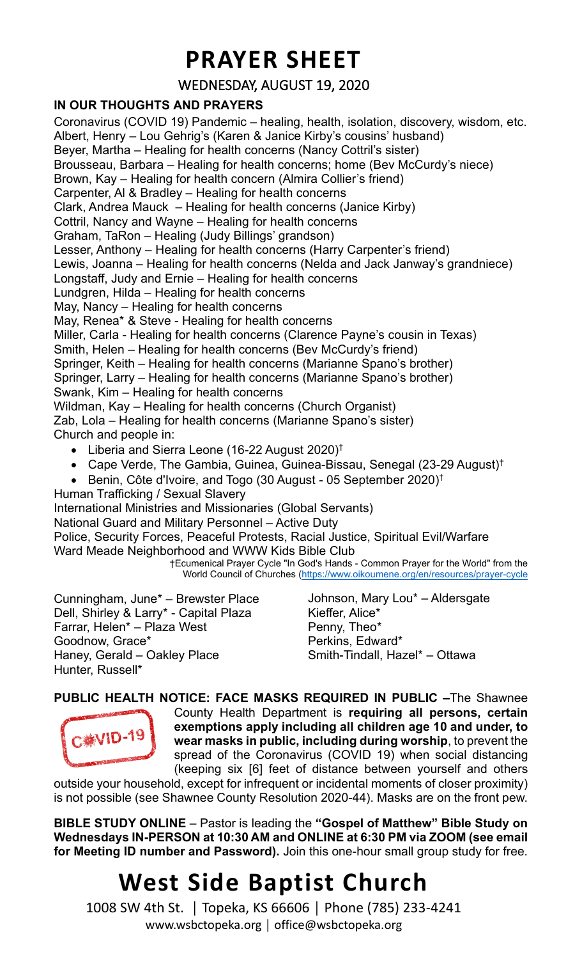### **PRAYER SHEET**

#### WEDNESDAY, AUGUST 19, 2020

#### **IN OUR THOUGHTS AND PRAYERS**

Coronavirus (COVID 19) Pandemic – healing, health, isolation, discovery, wisdom, etc. Albert, Henry – Lou Gehrig's (Karen & Janice Kirby's cousins' husband) Beyer, Martha – Healing for health concerns (Nancy Cottril's sister) Brousseau, Barbara – Healing for health concerns; home (Bev McCurdy's niece) Brown, Kay – Healing for health concern (Almira Collier's friend) Carpenter, Al & Bradley – Healing for health concerns Clark, Andrea Mauck – Healing for health concerns (Janice Kirby) Cottril, Nancy and Wayne – Healing for health concerns Graham, TaRon – Healing (Judy Billings' grandson) Lesser, Anthony – Healing for health concerns (Harry Carpenter's friend) Lewis, Joanna – Healing for health concerns (Nelda and Jack Janway's grandniece) Longstaff, Judy and Ernie – Healing for health concerns Lundgren, Hilda – Healing for health concerns May, Nancy – Healing for health concerns May, Renea\* & Steve - Healing for health concerns Miller, Carla - Healing for health concerns (Clarence Payne's cousin in Texas) Smith, Helen – Healing for health concerns (Bev McCurdy's friend) Springer, Keith – Healing for health concerns (Marianne Spano's brother) Springer, Larry – Healing for health concerns (Marianne Spano's brother) Swank, Kim – Healing for health concerns Wildman, Kay – Healing for health concerns (Church Organist) Zab, Lola – Healing for health concerns (Marianne Spano's sister) Church and people in: • Liberia and Sierra Leone (16-22 August 2020)<sup>†</sup> • Cape Verde, The Gambia, Guinea, Guinea-Bissau, Senegal (23-29 August) † • Benin, Côte d'Ivoire, and Togo (30 August - 05 September 2020) † Human Trafficking / Sexual Slavery

International Ministries and Missionaries (Global Servants)

National Guard and Military Personnel – Active Duty

Police, Security Forces, Peaceful Protests, Racial Justice, Spiritual Evil/Warfare Ward Meade Neighborhood and WWW Kids Bible Club

†Ecumenical Prayer Cycle "In God's Hands - Common Prayer for the World" from the World Council of Churches [\(https://www.oikoumene.org/en/resources/prayer-cycle](https://www.oikoumene.org/en/resources/prayer-cycle)

Cunningham, June\* – Brewster Place Dell, Shirley & Larry\* - Capital Plaza Farrar, Helen\* – Plaza West Goodnow, Grace\* Haney, Gerald – Oakley Place Hunter, Russell\*

Johnson, Mary Lou\* – Aldersgate Kieffer, Alice\* Penny, Theo\* Perkins, Edward\* Smith-Tindall, Hazel\* – Ottawa

**PUBLIC HEALTH NOTICE: FACE MASKS REQUIRED IN PUBLIC –**The Shawnee



County Health Department is **requiring all persons, certain exemptions apply including all children age 10 and under, to wear masks in public, including during worship**, to prevent the spread of the Coronavirus (COVID 19) when social distancing (keeping six [6] feet of distance between yourself and others

outside your household, except for infrequent or incidental moments of closer proximity) is not possible (see Shawnee County Resolution 2020-44). Masks are on the front pew.

**BIBLE STUDY ONLINE** – Pastor is leading the **"Gospel of Matthew" Bible Study on Wednesdays IN-PERSON at 10:30 AM and ONLINE at 6:30 PM via ZOOM (see email for Meeting ID number and Password).** Join this one-hour small group study for free.

## **West Side Baptist Church**

1008 SW 4th St. │ Topeka, KS 66606 │ Phone (785) 233-4241 www.wsbctopeka.org │ office@wsbctopeka.org